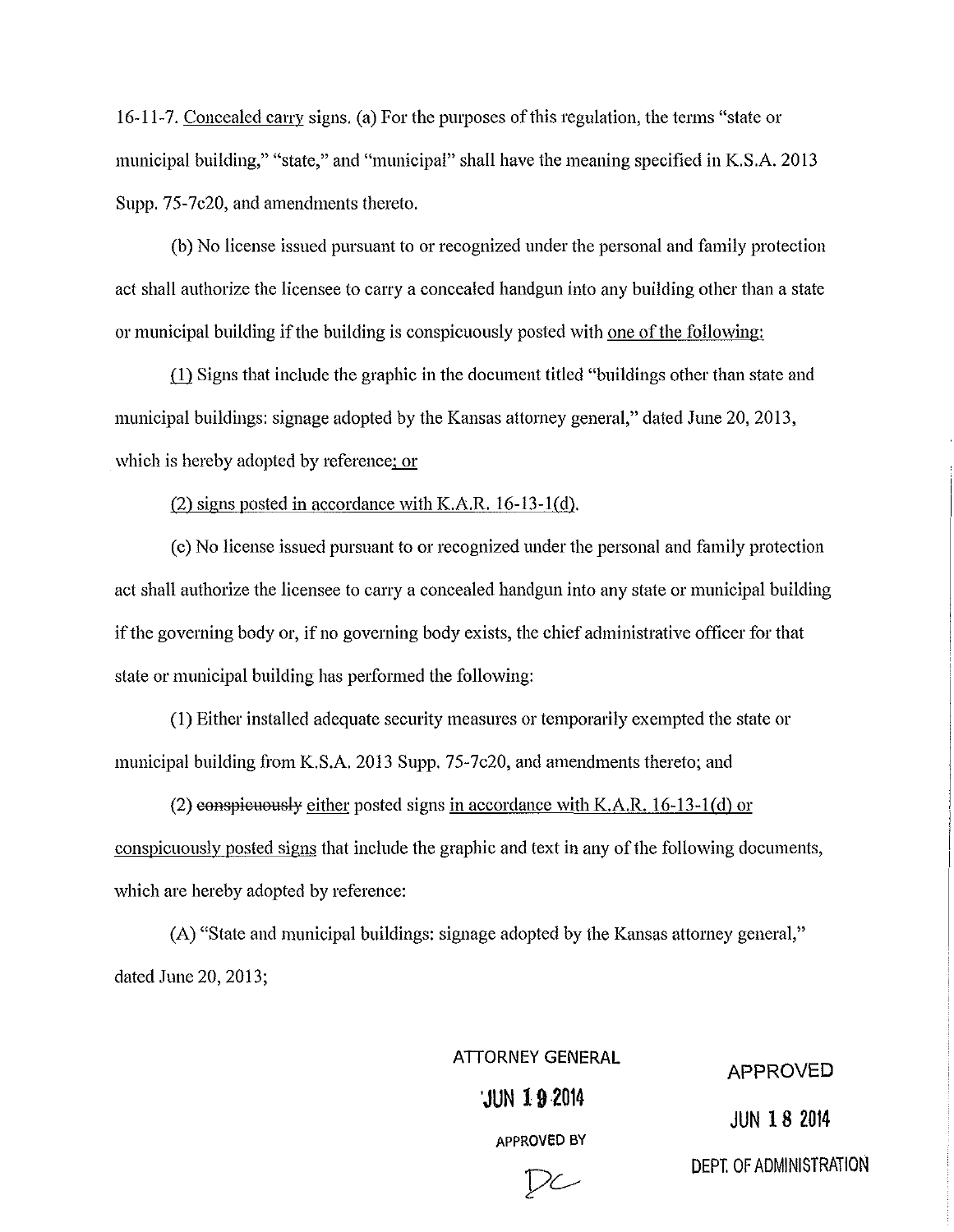16-11-7. Concealed carry signs. (a) For the purposes of this regulation, the terms "slale or municipal building," "state," and "municipal" shall have the meaning specified in K.S.A. 2013 Supp. 75-7c20, and amendments thereto.

(b) No license issued pursuant to or recognized under the personal and family protection act shall authorize the licensee to carry a concealed handgun into any building other than a state or municipal building if the building is conspicuously posted with one of the following:

(1) Signs that include the graphic in the document titled "buildings other than state and municipal buildings: signage adopted by the Kansas attorney general," dated June 20, 2013, which is hereby adopted by reference; or

(2) signs posted in accordance with K.A.R. 16-13-1(d).

(c) No license issued pursuant to or recognized under the personal and family protection act shall authorize the licensee to carry a concealed handgun into any state or municipal building if the governing body or, if no governing body exists, the chief administrative officer for that state or municipal building has performed the following:

(1) Either installed adequate security measures or temporarily exempted the state or municipal building from K.S.A. 2013 Supp. 75-7c20, and amendments thereto; and

(2) eonspieuously either posted signs in accordance with K.A.R.  $16-13-1$  (d) or conspicuously posted signs that include the graphic and text in any of the following documents, which are hereby adopted by reference:

(A) "State and municipal buildings: signage adopted by the Kansas attorney general," dated June 20, 2013;

ATTORNEY GENERAL

'JUN **192014** 

APPROVED

APPROVED BY

 $\mathcal{D}$ 

JUN 18 2014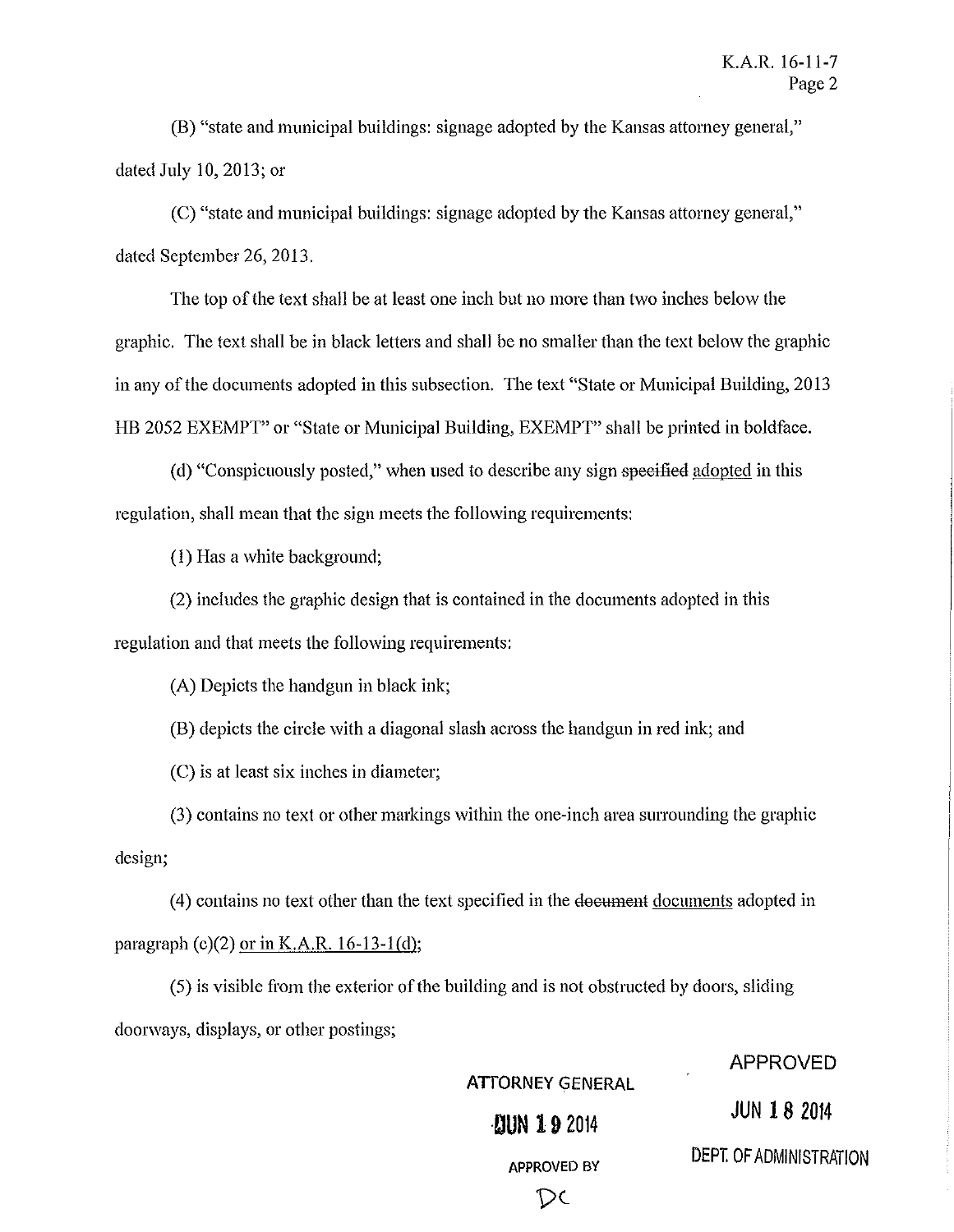(B) "state and municipal buildings: signage adopted by the Kansas attorney general," dated July 10, 2013; or

(C) "state and municipal buildings: signage adopted by the Kansas attorney general," dated September 26, 2013.

The top of the text shall be at least one inch but no more than two inches below the graphic. The text shall be in black letters and shall be no smaller than the text below the graphic in any of the documents adopted in this subsection. The text "State or Municipal Building, 2013 HB 2052 EXEMPT" or "State or Municipal Building, EXEMPT" shall be printed in boldface.

(d) "Conspicuously posted," when used to describe any sign speeified adopted in this regulation, shall mean that the sign meets the following requirements:

(I) Has a white background;

(2) includes the graphic design that is contained in the documents adopted in this regulation and that meets the following requirements:

(A) Depicts the handgun in black ink;

(B) depicts the circle with a diagonal slash across the handgun in red ink; and

(C) is at least six inches in diameter;

(3) contains no text or other markings within the one-inch area surrounding the graphic design;

(4) contains no text other than the text specified in the document documents adopted in paragraph  $(c)(2)$  or in K.A.R. 16-13-1(d);

(5) is visible from the exterior of the building and is not obstructed by doors, sliding doorways, displays, or other postings;

ATTORNEY GENERAL

APPROVED

**·DUN 192014** JUN **18** <sup>2014</sup>

DC

APPROVED BY DEPT. OF ADMINISTRATION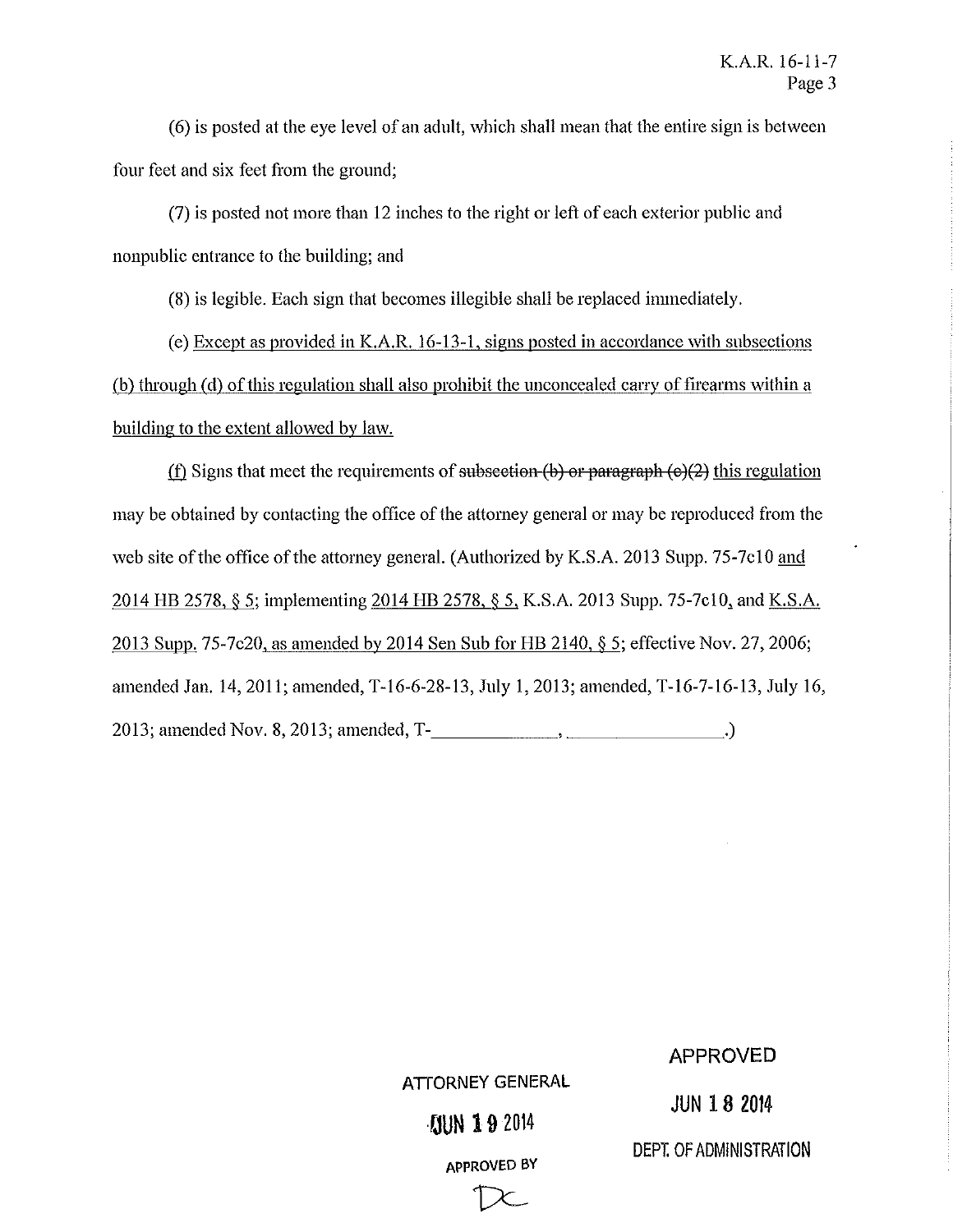(6) is posted at the eye level of an adult, which shall mean that the entire sign is between four feet and six feet from the ground;

(7) is posted not more than 12 inches to the right or left of each exterior public and nonpublic entrance to the building; and

(8) is legible. Each sign that becomes illegible shall be replaced immediately.

(e) Except as provided in K.A.R. 16-13-1, signs posted in accordance with subsections (b) through (d) of this regulation shall also prohibit the unconcealed carry of firearms within a building to the extent allowed by law.

(f) Signs that meet the requirements of subsection  $(b)$  or paragraph  $(e)(2)$  this regulation may be obtained by contacting the office of the attorney general or may be reproduced from the web site of the office of the attorney general. (Authorized by K.S.A. 2013 Supp. 75-7c10 and 2014 HB 2578, § 5; implementing 2014 HB 2578, § 5, K.S.A. 2013 Supp. 75-7c10, and K.S.A. 2013 Supp. 75-7c20, as amended by 2014 Sen Sub for HB 2140, § 5; effective Nov. 27, 2006; amended Jan. 14,2011; amended, T-16-6-28-13, July I, 2013; amended, T-16-7-16-13, July 16, 2013; amended Nov. 8,2013; amended, T-\_\_\_\_\_\_\_\_\_\_\_\_\_ .)

## APPROVED

**JUN 18 2014** 

## **·,.,UN 19** <sup>2014</sup>

ATTORNEY GENERAL

APPROVED BY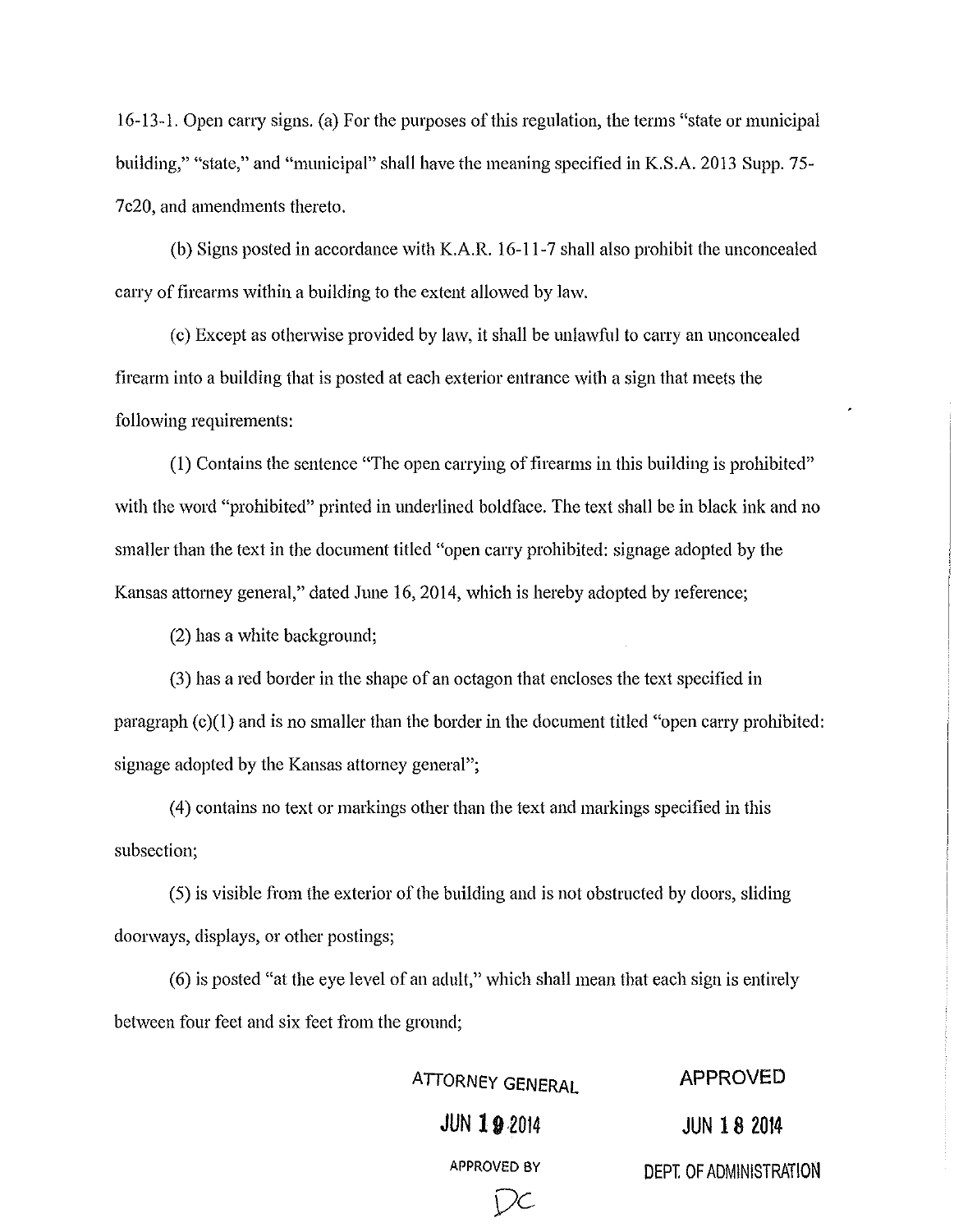16-13-1. Open carry signs. (a) For the purposes of this regulation, the terms "state or municipal building," "state," and "municipal" shall have the meaning specified in K.S.A. 2013 Supp. 75-7c20, and amendments thereto.

(b) Signs posted in accordance with K.A.R. 16-11-7 shall also prohibit the unconcealed carry of firearms within a building to the extent allowed by law.

( c) Except as otherwise provided by law, it shall be unlawful to carry an unconcealed firearm into a building that is posted at each exterior entrance with a sign that meets the following requirements:

 $(1)$  Contains the sentence "The open carrying of firearms in this building is prohibited" with the word "prohibited" printed in underlined boldface. The text shall be in black ink and no smaller than the text in the document titled "open carry prohibited: signage adopted by the Kansas attorney general," dated June 16,2014, which is hereby adopted by reference;

(2) has a white background;

(3) has a red border in the shape of an octagon that encloses the text specified in paragraph (c)(1) and is no smaller than the border in the document titled "open carry prohibited: signage adopted by the Kansas attorney general";

(4) contains no text or markings other than the text and markings specified in this subsection;

(5) is visible from the exterior of the building and is not obstructed by doors, sliding doorways, displays, or other postings;

(6) is posted "at the eye level of an adult," which shall mean that each sign is entirely between four feet and six feet from the ground;

> **ATTORNEY GENERAL JUN 192014**

> > Dc

**APPROVED** 

**JUN 18 <sup>2014</sup>**

APPROVED BY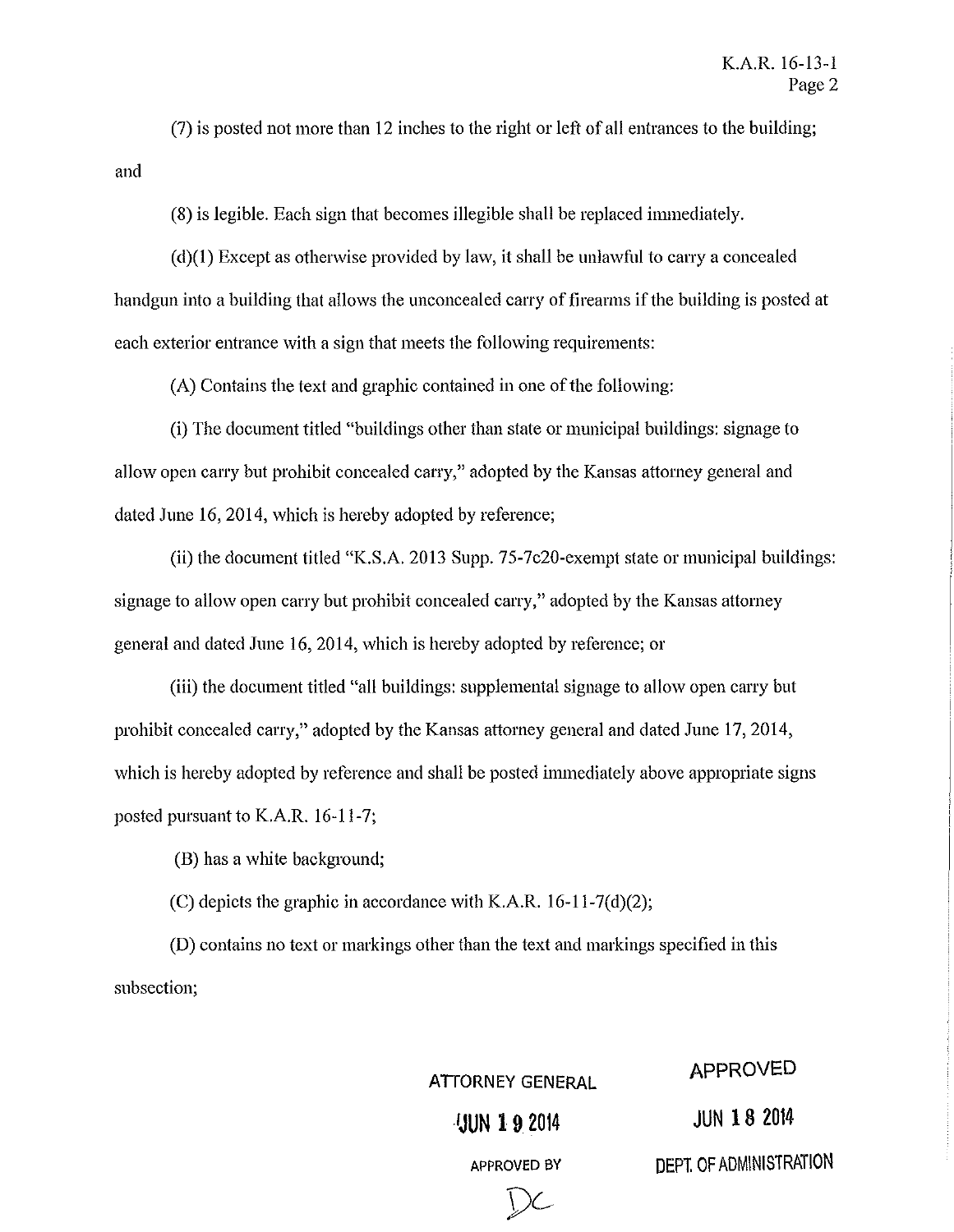and (7) is posted not more than 12 inches to the right or left of all entrances to the building;

(8) is legible. Each sign that becomes illegible shall be replaced immediately.

(d)(I) Except as otherwise provided by law, it shall be unlawful to carry a concealed handgun into a building that allows the unconcealed carry of firearms if the building is posted at each exterior entrance with a sign that meets the following requirements:

(A) Contains the text and graphic contained in one of the following:

(i) The document titled "buildings other than state or municipal buildings: signage to allow open carry but prohibit concealed carry," adopted by the Kansas attorney general and dated June 16, 2014, which is hereby adopted by reference;

(ii) the document titled "K.S.A. 2013 Supp. 75-7c20-exempt state or municipal buildings: signage to allow open carry but prohibit concealed carry," adopted by the Kansas attorney general and dated June 16,2014, which is hereby adopted by reference; or

(iii) the document titled "all buildings: supplemental signage to allow open carry but prohibit concealed carry," adopted by the Kansas attorney general and dated June 17,2014, which is hereby adopted by reference and shall be posted immediately above appropriate signs posted pursuant to K.A.R. 16-11-7;

(B) has a white background;

(C) depicts the graphic in accordance with K.A.R. 16-11-7(d)(2);

(D) contains no text or markings other than the text and markings specified in this subsection;

ATIORNEY GENERAL APPROVED

**UUN 192014 JUN 18 2014** 

\)C

APPROVED BY DEPT. OF ADMINISTRATION